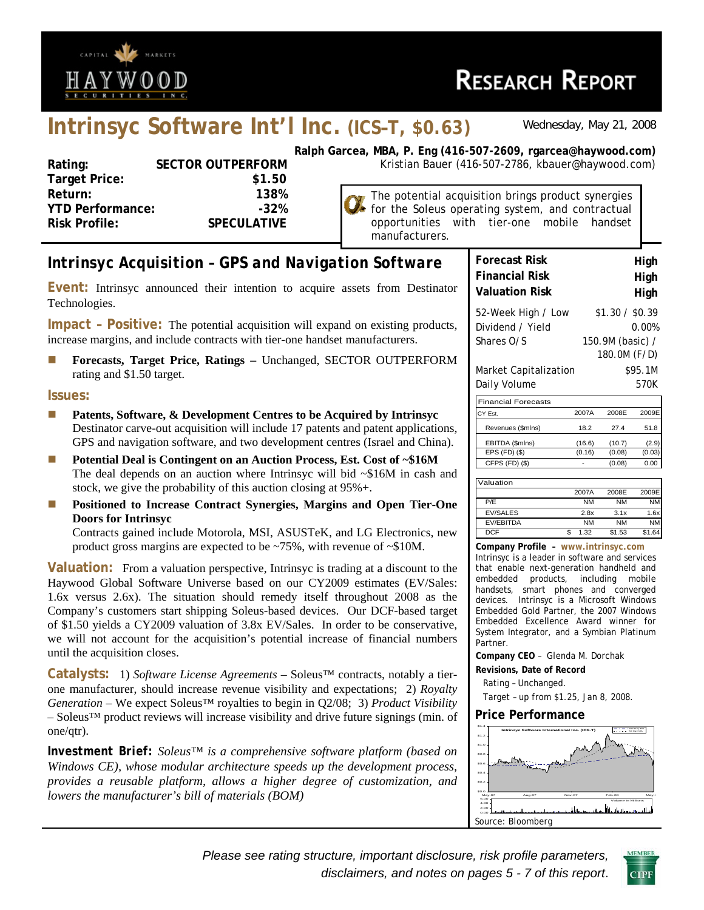

# **RESEARCH REPORT**

## **Intrinsyc Software Int'l Inc. (ICS–T, \$0.63)** *Wednesday, May 21, 2008*

| Rating:                 | <b>SECTOR OUTPERFORM</b> |
|-------------------------|--------------------------|
| <b>Target Price:</b>    | \$1.50                   |
| Return:                 | 138%                     |
| <b>YTD Performance:</b> | $-32%$                   |
| <b>Risk Profile:</b>    | <b>SPECULATIVE</b>       |
|                         |                          |

**Ralph Garcea, MBA, P. Eng (416-507-2609, rgarcea@haywood.com)** Kristian Bauer (416-507-2786, kbauer@haywood.com)

> The potential acquisition brings product synergies for the Soleus operating system, and contractual opportunities with tier-one mobile handset manufacturers.

## *Intrinsyc Acquisition – GPS and Navigation Software*

**Event:** Intrinsyc announced their intention to acquire assets from Destinator Technologies.

**Impact – Positive:** The potential acquisition will expand on existing products, increase margins, and include contracts with tier-one handset manufacturers.

**Forecasts, Target Price, Ratings – Unchanged, SECTOR OUTPERFORM** rating and \$1.50 target.

#### **Issues:**

- **Patents, Software, & Development Centres to be Acquired by Intrinsyc** Destinator carve-out acquisition will include 17 patents and patent applications, GPS and navigation software, and two development centres (Israel and China).
- **Potential Deal is Contingent on an Auction Process, Est. Cost of ~\$16M** The deal depends on an auction where Intrinsyc will bid ~\$16M in cash and stock, we give the probability of this auction closing at 95%+.
- **Positioned to Increase Contract Synergies, Margins and Open Tier-One Doors for Intrinsyc**

Contracts gained include Motorola, MSI, ASUSTeK, and LG Electronics, new product gross margins are expected to be ~75%, with revenue of ~\$10M.

**Valuation:** From a valuation perspective, Intrinsyc is trading at a discount to the Haywood Global Software Universe based on our CY2009 estimates (EV/Sales: 1.6x versus 2.6x). The situation should remedy itself throughout 2008 as the Company's customers start shipping Soleus-based devices. Our DCF-based target of \$1.50 yields a CY2009 valuation of 3.8x EV/Sales. In order to be conservative, we will not account for the acquisition's potential increase of financial numbers until the acquisition closes.

**Catalysts:** 1) *Software License Agreements* – Soleus™ contracts, notably a tierone manufacturer, should increase revenue visibility and expectations; 2) *Royalty Generation* – We expect Soleus™ royalties to begin in Q2/08; 3) *Product Visibility* – Soleus™ product reviews will increase visibility and drive future signings (min. of one/qtr).

*Investment Brief: Soleus™ is a comprehensive software platform (based on Windows CE), whose modular architecture speeds up the development process, provides a reusable platform, allows a higher degree of customization, and lowers the manufacturer's bill of materials (BOM)* 

| <b>Forecast Risk</b>                                 | High                                                         |
|------------------------------------------------------|--------------------------------------------------------------|
| <b>Financial Risk</b>                                | High                                                         |
| <b>Valuation Risk</b>                                | High                                                         |
| 52-Week High / Low<br>Dividend / Yield<br>Shares O/S | \$1.30 / \$0.39<br>0.00%<br>150.9M (basic) /<br>180.0M (F/D) |
| Market Capitalization                                | \$95.1M                                                      |
| Daily Volume                                         | 570K                                                         |

| <b>Financial Forecasts</b> |        |        |        |
|----------------------------|--------|--------|--------|
| CY Est.                    | 2007A  | 2008F  | 2009F  |
| Revenues (\$mlns)          | 18.2   | 274    | 51.8   |
| EBITDA (\$mlns)            | (16.6) | (10.7) | (2.9)  |
| $EPS$ (FD) $(\$)$          | (0.16) | (0.08) | (0.03) |
| $CFPS$ $(FD)$ $(\$)$       |        | (0.08) | 0.00   |
|                            |        |        |        |

| Valuation        |           |           |           |
|------------------|-----------|-----------|-----------|
|                  | 2007A     | 2008F     | 2009E     |
| P/F              | <b>NM</b> | <b>NM</b> | <b>NM</b> |
| <b>EV/SALES</b>  | 2.8x      | 3.1x      | 1.6x      |
| <b>FV/FBITDA</b> | <b>NM</b> | <b>NM</b> | <b>NM</b> |
| <b>DCF</b>       | 1.32      | \$1.53    | \$1.6     |

**Company Profile – www.intrinsyc.com** Intrinsyc is a leader in software and services that enable next-generation handheld and embedded products, including mobile handsets, smart phones and converged devices. Intrinsyc is a Microsoft Windows Embedded Gold Partner, the 2007 Windows Embedded Excellence Award winner for System Integrator, and a Symbian Platinum Partner.

**Company CEO** – Glenda M. Dorchak

**Revisions, Date of Record**  Rating – Unchanged.

Target – up from \$1.25, Jan 8, 2008.

#### **Price Performance**



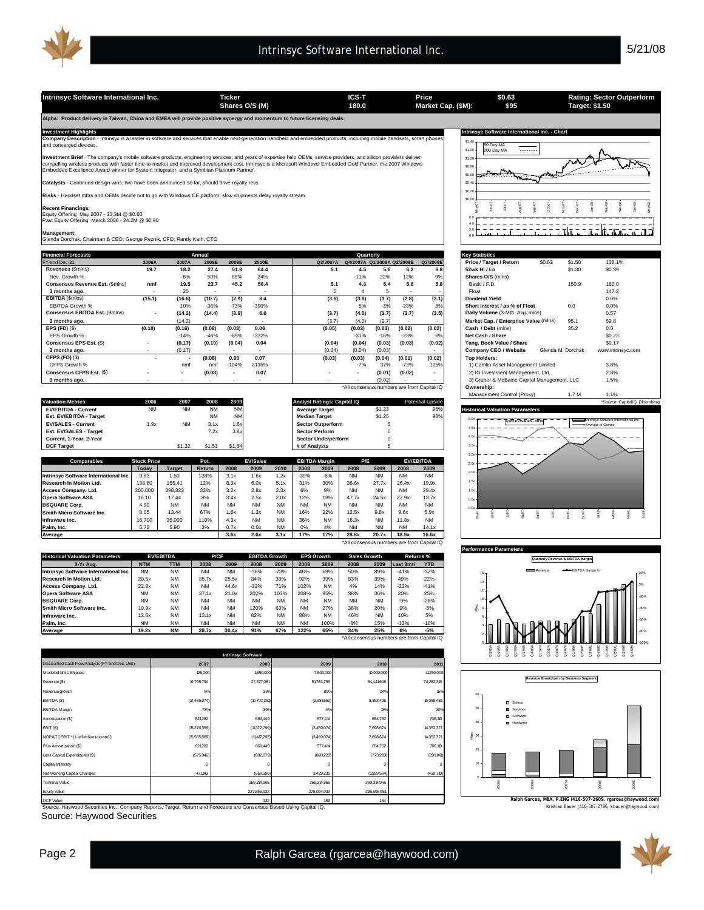Intrinsyc Software International Inc. Ticker Ticker **ICS-T** Price S0.63 Rating: Sector Outperform<br>Shares O/S (M) 180.0 Market Cap. (\$M): \$95 Target: \$1.50

**Shares O/S (M) Market Cap. (\$M): 180.0 Target: \$1.50**

\*All consensus numbers are from Capital IQ

\*All consensus numbers are from Capital IQ

**Alpha: Product delivery in Taiwan, China and EMEA will provide positive synergy and momentum to future licensing deals.** 

**Investment Highlights Intrinsyc Software International Inc. - Chart Company Description** - Intrinsyc is a leader in software and services that enable next-generation handheld and embedded products, including mobile handsets, smart phones ny Description<br>Corred devices.

**Investment Brief** - The company's mobile software products, engineering services, and years of expertise help OEMs, service providers, and silicon providers deliver<br>compelling wireless products with faster time-to-market

**Catalysts** - Continued design wins, two have been announced so far, should drive royalty revs.

**Risks** - Handset mftrs and OEMs decide not to go with Windows CE platform; slow shipments delay royalty stream.

**Recent Financings**: Equity Offering May 2007 - 33.3M @ \$0.60 Past Equity Offering March 2006 - 24.2M @ \$0.90

**Management:** Glenda Dorchak, Chairman & CEO; George Reznik, CFO; Randy Kath, CTO

| <b>Financial Forecasts</b>      |                          |                          | Annual                   |                          |         |          |        | Quarterly                  |                          |                          | <b>Key Statistics</b>                       |        |                   |                   |
|---------------------------------|--------------------------|--------------------------|--------------------------|--------------------------|---------|----------|--------|----------------------------|--------------------------|--------------------------|---------------------------------------------|--------|-------------------|-------------------|
| FY-end Dec-31                   | 2006A                    | 2007A                    | 2008E                    | 2009E                    | 2010E   | Q3/2007A |        | Q4/2007A Q1/2008A Q2/2008E |                          | Q3/2008E                 | Price / Target / Return                     | \$0.63 | \$1.50            | 138.1%            |
| Revenues (\$mins)               | 19.7                     | 18.2                     | 27.4                     | 51.8                     | 64.4    | 5.1      | 4.5    | 5.6                        | 6.2                      | 6.8                      | 52wk Hi / Lo                                |        | \$1.30            | \$0.39            |
| Rev. Growth %                   |                          | $-8%$                    | 50%                      | 89%                      | 24%     |          | $-11%$ | 22%                        | 12%                      | 9%                       | Shares O/S (mlns)                           |        |                   |                   |
| Consensus Revenue Est. (\$mins) | nmf                      | 19.5                     | 23.7                     | 45.2                     | 56.4    | 5.1      | 4.3    | 5.4                        | 5.8                      | 5.8                      | Basic / F.D.                                |        | 150.9             | 180.0             |
| 3 months ago.                   | $\overline{\phantom{a}}$ | 20                       | $\overline{\phantom{a}}$ |                          |         |          |        |                            | $\overline{\phantom{a}}$ |                          | Float                                       |        |                   | 147.2             |
| EBITDA (\$mins)                 | (15.1)                   | (16.6)                   | (10.7)                   | (2.9)                    | 8.4     | (3.6)    | (3.8)  | (3.7)                      | (2.8)                    | (3.1)                    | <b>Dividend Yield</b>                       |        |                   | 0.0%              |
| <b>EBITDA Growth %</b>          |                          | 10%                      | $-36%$                   | $-73%$                   | $-390%$ |          | 5%     | $-3%$                      | $-23%$                   | 8%                       | Short Interest / as % of Float              |        | 0.0               | 0.0%              |
| Consensus EBITDA Est. (\$mins)  | $\overline{\phantom{a}}$ | (14.2)                   | (14.4)                   | (3.9)                    | 6.0     | (3.7)    | (4.0)  | (3.7)                      | (3.7)                    | (3.5)                    | Daily Volume (3-Mth. Avg. mlns)             |        |                   | 0.57              |
| 3 months ago.                   | ٠                        | (14.2)                   | $\overline{\phantom{a}}$ | . .                      |         | (3.7)    | (4.0)  | (2.7)                      |                          |                          | Market Cap. / Enterprise Value (mlns)       |        | 95.1              | 59.8              |
| EPS $(FD)(\$)$                  | (0.18)                   | (0.16)                   | (0.08)                   | (0.03)                   | 0.06    | (0.05)   | (0.03) | (0.03)                     | (0.02)                   | (0.02)                   | Cash / Debt (mlns)                          |        | 35.2              | 0.0               |
| FPS Growth %                    |                          | $-14%$                   | $-46%$                   | $-69%$                   | $-332%$ |          | $-31%$ | $-16%$                     | $-23%$                   | 6%                       | Net Cash / Share                            |        |                   | \$0.23            |
| Consensus EPS Est. (\$)         | $\overline{\phantom{a}}$ | (0.17)                   | (0.10)                   | (0.04)                   | 0.04    | (0.04)   | (0.04) | (0.03)                     | (0.03)                   | (0.02)                   | Tang, Book Value / Share                    |        |                   | \$0.17            |
| 3 months ago.                   |                          | (0.17)                   |                          |                          |         | (0.04)   | (0.04) | (0.03)                     |                          | $\sim$                   | Company CEO / Website                       |        | Glenda M. Dorchak | www.intrinsyc.com |
| CFPS (FD) (\$)                  | $\overline{\phantom{a}}$ |                          | (0.08)                   | 0.00                     | 0.07    | (0.03)   | (0.03) | (0.04)                     | (0.01)                   | (0.02)                   | <b>Top Holders:</b>                         |        |                   |                   |
| CFPS Growth %                   |                          | nmf                      | nmf                      | $-104%$                  | 2135%   |          | $-7%$  | 37%                        | $-73%$                   | 125%                     | 1) Camlin Asset Management Limited          |        |                   | 3.8%              |
| Consensus CFPS Est. (\$)        |                          | $\overline{\phantom{a}}$ | (0.08)                   | $\overline{\phantom{a}}$ | 0.07    |          |        | (0.01)                     | (0.02)                   | $\overline{\phantom{a}}$ | 2) IG Investment Management, Ltd.           |        |                   | 2.8%              |
| 3 months ago.                   |                          |                          |                          |                          |         |          |        | (0.02)                     |                          | ۰.                       | 3) Gruber & McBaine Capital Management, LLC |        |                   | 1.5%              |

|                            |           |      |           |           |                             |        |                         | Management Control (Proxy)<br>. . / M         |
|----------------------------|-----------|------|-----------|-----------|-----------------------------|--------|-------------------------|-----------------------------------------------|
| <b>Valuation Metrics</b>   | 2006      | 2007 | 2008      | 2009      | Analyst Ratings: Capital IQ |        | <b>Potential Upside</b> | *Source: CapitalIQ, Bloomberg                 |
| <b>EV/EBITDA - Current</b> | <b>NM</b> |      | <b>NM</b> | <b>NM</b> | <b>Average Target</b>       | \$1.23 | 95%                     | <b>Historical Valuation Parameters</b>        |
| Est. EV/EBITDA - Target    |           |      | <b>NM</b> | <b>NM</b> | <b>Median Target</b>        | \$1.25 | 98%                     | Intrinsvc Software International Inc.         |
| <b>EV/SALES - Current</b>  | 1.9x      |      | 3.1x      | 1.6x      | <b>Sector Outperform</b>    |        |                         | <b>FWD EV/SALES - NTM</b><br>Average of Comps |
| Est. EV/SALES - Target     |           |      | 7.2x      | 3.8x      | <b>Sector Perform</b>       |        |                         |                                               |
| Current. 1-Year. 2-Year    |           |      |           |           | <b>Sector Underperform</b>  |        |                         |                                               |
| <b>DCF Target</b>          |           |      | \$1.53    | \$1.64    | # of Analysts               |        |                         | $  -$                                         |

| <b>Comparables</b>                    | <b>Stock Price</b> |               | Pot.          |           | <b>EV/Sales</b> |           |           | <b>EBITDA Margin</b> | P/E       |           | <b>EV/EBITDA</b> |                                            |
|---------------------------------------|--------------------|---------------|---------------|-----------|-----------------|-----------|-----------|----------------------|-----------|-----------|------------------|--------------------------------------------|
|                                       | Todav              | <b>Target</b> | <b>Return</b> | 2008      | 2009            | 2010      | 2008      | 2009                 | 2008      | 2009      | 2008             | 2009                                       |
| Intrinsyc Software International Inc. | 0.63               | 1.50          | 138%          | 3.1x      | 1.6x            | 1.2x      | $-39%$    | $-6%$                | <b>NM</b> | <b>NM</b> | <b>NM</b>        | <b>NM</b>                                  |
| Research In Motion Ltd.               | 138.60             | 155.41        | 12%           | 8.3x      | 6.0x            | 5.1x      | 31%       | 30%                  | 38.6x     | 27.7x     | 26.4x            | 19.9x                                      |
| Access Company, Ltd.                  | 300,000            | 398.333       | 33%           | 3.2x      | 2.8x            | 2.3x      | 6%        | 9%                   | <b>NM</b> | <b>NM</b> | <b>NM</b>        | 29.4x                                      |
| <b>Opera Software ASA</b>             | 16.10              | 17.44         | 8%            | 3.4x      | 2.5x            | 2.0x      | 12%       | 18%                  | 47.7x     | 24.5x     | 27.9x            | 13.7x                                      |
| <b>BSQUARE Corp.</b>                  | 4.90               | <b>NM</b>     | <b>NM</b>     | <b>NM</b> | <b>NM</b>       | <b>NM</b> | <b>NM</b> | <b>NM</b>            | <b>NM</b> | <b>NM</b> | <b>NM</b>        | <b>NM</b>                                  |
| Smith Micro Software Inc.             | 8.05               | 13.44         | 67%           | 1.6x      | 1.3x            | <b>NM</b> | 16%       | 22%                  | 12.5x     | 9.8x      | 9.6x             | 5.9x                                       |
| Infraware Inc.                        | 16,700             | 35,000        | 110%          | 4.3x      | <b>NM</b>       | <b>NM</b> | 36%       | <b>NM</b>            | 16.3x     | <b>NM</b> | 11.8x            | <b>NM</b>                                  |
| Palm. Inc.                            | 5.72               | 5.90          | 3%            | 0.7x      | 0.6x            | <b>NM</b> | 0%        | 4%                   | <b>NM</b> | <b>NM</b> | <b>NM</b>        | 14.1x                                      |
| Average                               |                    |               |               | 3.6x      | 2.6x            | 3.1x      | 17%       | 17%                  | 28.8x     | 20.7x     | 18.9x            | 16.6x                                      |
|                                       |                    |               |               |           |                 |           |           |                      |           |           |                  | *All consensus numbers are from Capital IQ |

| <b>Historical Valuation Parameters</b> |            | <b>EV/EBITDA</b> |           | <b>P/CF</b> |           | <b>EBITDA Growth</b> |           | <b>EPS Growth</b> | <b>Sales Growth</b> |           | Returns % |            |  |
|----------------------------------------|------------|------------------|-----------|-------------|-----------|----------------------|-----------|-------------------|---------------------|-----------|-----------|------------|--|
| 3-Yr Ava.                              | <b>NTM</b> | <b>TTM</b>       | 2008      | 2009        | 2008      | 2009                 | 2008      | 2009              | 2008                | 2009      | Last 3mtl | <b>YTD</b> |  |
| Intrinsvc Software International Inc.  | <b>NM</b>  | <b>NM</b>        | <b>NM</b> | <b>NM</b>   | $-36%$    | $-73%$               | 46%       | 69%               | 50%                 | 89%       | $-41%$    | $-32%$     |  |
| Research In Motion Ltd.                | 20.5x      | <b>NM</b>        | 35.7x     | 25.5x       | 84%       | 33%                  | 92%       | 39%               | 83%                 | 39%       | 49%       | 22%        |  |
| Access Company, Ltd.                   | 22.8x      | <b>NM</b>        | <b>NM</b> | 44.6x       | $-32%$    | 71%                  | 102%      | <b>NM</b>         | 4%                  | 14%       | $-22%$    | $-41%$     |  |
| <b>Opera Software ASA</b>              | <b>NM</b>  | <b>NM</b>        | 37.1x     | 21.0x       | 202%      | 103%                 | 208%      | 95%               | 38%                 | 36%       | 20%       | 25%        |  |
| <b>IBSQUARE Corp.</b>                  | <b>NM</b>  | <b>NM</b>        | <b>NM</b> | <b>NM</b>   | <b>NM</b> | <b>NM</b>            | <b>NM</b> | <b>NM</b>         | <b>NM</b>           | <b>NM</b> | $-9%$     | $-28%$     |  |
| <b>Smith Micro Software Inc.</b>       | 19.9x      | <b>NM</b>        | <b>NM</b> | <b>NM</b>   | 120%      | 63%                  | <b>NM</b> | 27%               | 38%                 | 20%       | 9%        | $-5%$      |  |
| Infraware Inc.                         | 13.6x      | <b>NM</b>        | 13.1x     | <b>NM</b>   | 82%       | <b>NM</b>            | 88%       | <b>NM</b>         | 46%                 | <b>NM</b> | 10%       | 5%         |  |
| Palm, Inc.                             | <b>NM</b>  | <b>NM</b>        | <b>NM</b> | <b>NM</b>   | <b>NM</b> | <b>NM</b>            | NM        | 100%              | $-8%$               | 15%       | $-13%$    | $-10%$     |  |
| Average                                | 19.2x      | <b>NM</b>        | 28.7x     | 30.4x       | 91%       | 67%                  | 122%      | 65%               | 34%                 | 25%       | 6%        | $-5%$      |  |

scounted Cash Flow Analysis (FY-End Dec, US\$)<br>odeled Units Shipped Modeled Units Shipped 125,000 125,000 1250,000 1,550,000 7,500,000 10,000,000 1,250,000 11,250,000 11,250,000 Amortization (\$) NOPAT [ EBIT \* (1 - effective tax rate) ] Plus Amortization (\$) Less Capital Expenditures (\$) apital Intensity et Working Ca 6% 39% -73% -39% **Intrinsyc Software 2010 2011** 27,377,081 27,377,08 **2007 2008 2009** 51,763,756 64,441,606 74,262,31 3,429,236 (773,299) (828,220) (1 (15,565,689) (3,459,074) 1,417,792) 7,698,674 (682,879) (575,046) 89% 24% 15% 15,058,481 -6% 13% 20% (14,455,074) (10,703,351) (2,881,660) 8,353,426 706,110 (1 (15,276,356) (3,459,074) 1,372,799) 7,698,674 1 4,352,371 821,282 669,449 669,449 577,414 654,752 14,352,371 821,282 669,449 577,414 654,752 706,110 (439,710) (891,148)  $\begin{array}{ccccccc} \circ & & & & \circ & & & \circ & & \circ & & \circ \end{array}$ 471,143 (659,396) 471,143 (659,396) 471,143 (659,396) 471,143 (1,359,564)

237,856,932

Source: Haywood Securities Inc., Company Reports, Target, Return and Forecasts are Consensus Based Using Capital IQ. DCF Value 1 1.32 1 .53 .64

Source: Haywood Securities

| \$1.40<br>\$1.20 | 50 Day MA<br>200 Day MA |        |        |           |           |        |          |          |        |          |        |  |
|------------------|-------------------------|--------|--------|-----------|-----------|--------|----------|----------|--------|----------|--------|--|
| \$1.00<br>\$0.80 |                         |        |        |           |           |        |          |          |        |          |        |  |
| \$0.60<br>\$0.40 |                         |        |        |           |           |        |          |          |        |          |        |  |
| \$0.20           |                         |        |        |           |           |        |          |          |        |          |        |  |
| \$0.00<br>Nay-07 | lun-07                  | Jul-07 | Aug-07 | $S$ op-07 | $Oct$ -07 | Nov-07 | $Dec-OT$ | $Jan-08$ | Feb-08 | $Mar-08$ | Apr-08 |  |
| 6.0<br>4.0       |                         |        |        |           |           |        |          |          |        |          |        |  |

**\$0.63 \$95**

| <b>Key Statistics</b>                         |                                             |                   |                               |  |  |  |  |  |
|-----------------------------------------------|---------------------------------------------|-------------------|-------------------------------|--|--|--|--|--|
| Price / Target / Return                       | \$0.63                                      | \$1.50            | 138.1%                        |  |  |  |  |  |
| 52wk Hi / Lo                                  |                                             | \$1.30            | \$0.39                        |  |  |  |  |  |
| Shares O/S (mins)                             |                                             |                   |                               |  |  |  |  |  |
| Basic / F.D.                                  |                                             | 150.9             | 180.0                         |  |  |  |  |  |
| Float                                         |                                             |                   | 147.2                         |  |  |  |  |  |
| <b>Dividend Yield</b>                         |                                             |                   | 0.0%                          |  |  |  |  |  |
| Short Interest / as % of Float                |                                             | 0.0               | 0.0%                          |  |  |  |  |  |
| Daily Volume (3-Mth. Avg. mlns)               |                                             |                   | 0.57                          |  |  |  |  |  |
| Market Cap. / Enterprise Value (mlns)         |                                             | 95.1              | 59.8                          |  |  |  |  |  |
| Cash / Debt (mlns)                            |                                             | 35.2              | 0.0                           |  |  |  |  |  |
| Net Cash / Share                              |                                             |                   | \$0.23                        |  |  |  |  |  |
| Tang. Book Value / Share                      |                                             |                   | \$0.17                        |  |  |  |  |  |
| <b>Company CEO / Website</b>                  |                                             | Glenda M. Dorchak | www.intrinsyc.com             |  |  |  |  |  |
| <b>Top Holders:</b>                           |                                             |                   |                               |  |  |  |  |  |
| 1) Camlin Asset Management Limited            |                                             |                   | 3.8%                          |  |  |  |  |  |
| 2) IG Investment Management, Ltd.             |                                             |                   | 2.8%                          |  |  |  |  |  |
|                                               | 3) Gruber & McBaine Capital Management, LLC |                   |                               |  |  |  |  |  |
| Ownership:                                    |                                             |                   |                               |  |  |  |  |  |
| Management Control (Proxy)                    |                                             | 1.7 M             | 1.1%                          |  |  |  |  |  |
|                                               |                                             |                   | *Source: CapitalIQ, Bloomberg |  |  |  |  |  |
| <b>Literature Literature at the Community</b> |                                             |                   |                               |  |  |  |  |  |







Kristian Bauer (416-507-2786, kbauer@haywood.com) **Ralph Garcea, MBA, P.ENG (416-507-2609, rgarcea@haywood.com)**



276,094,009 295,506,551

269,314,965 269,314,965 269,314,965 269,314,965

erminal Value Equity Value

Revenue (\$) evenue gr EBITDA (\$) EBITDA Margin

EBIT (\$)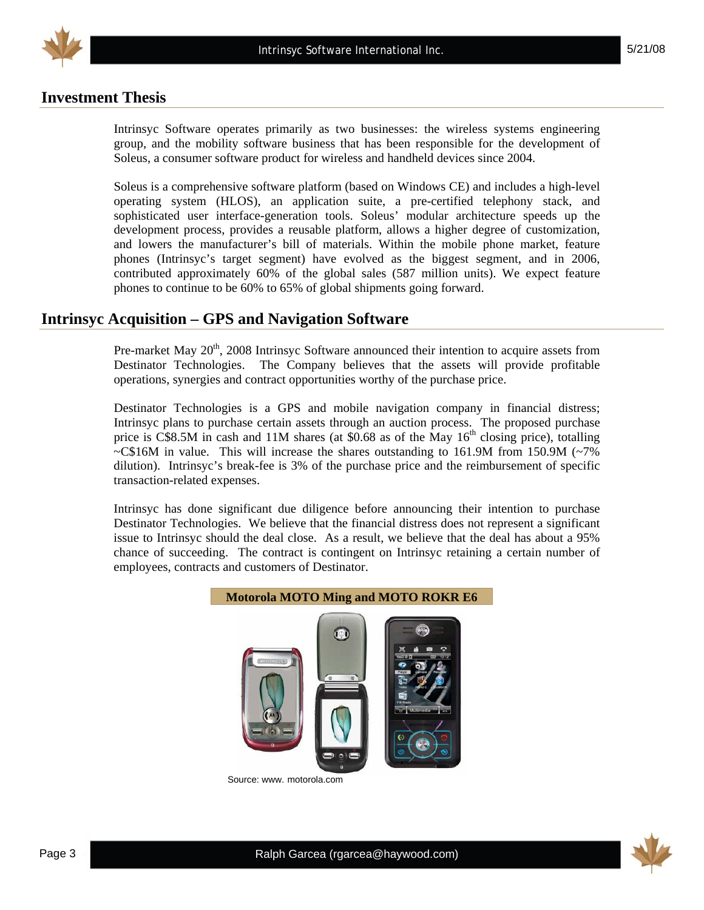

## **Investment Thesis**

Intrinsyc Software operates primarily as two businesses: the wireless systems engineering group, and the mobility software business that has been responsible for the development of Soleus, a consumer software product for wireless and handheld devices since 2004.

Soleus is a comprehensive software platform (based on Windows CE) and includes a high-level operating system (HLOS), an application suite, a pre-certified telephony stack, and sophisticated user interface-generation tools. Soleus' modular architecture speeds up the development process, provides a reusable platform, allows a higher degree of customization, and lowers the manufacturer's bill of materials. Within the mobile phone market, feature phones (Intrinsyc's target segment) have evolved as the biggest segment, and in 2006, contributed approximately 60% of the global sales (587 million units). We expect feature phones to continue to be 60% to 65% of global shipments going forward.

## **Intrinsyc Acquisition – GPS and Navigation Software**

Pre-market May 20<sup>th</sup>, 2008 Intrinsyc Software announced their intention to acquire assets from Destinator Technologies. The Company believes that the assets will provide profitable operations, synergies and contract opportunities worthy of the purchase price.

Destinator Technologies is a GPS and mobile navigation company in financial distress; Intrinsyc plans to purchase certain assets through an auction process. The proposed purchase price is  $\hat{C}$ \$8.5M in cash and 11M shares (at \$0.68 as of the May 16<sup>th</sup> closing price), totalling  $\sim$ C\$16M in value. This will increase the shares outstanding to 161.9M from 150.9M ( $\sim$ 7%) dilution). Intrinsyc's break-fee is 3% of the purchase price and the reimbursement of specific transaction-related expenses.

Intrinsyc has done significant due diligence before announcing their intention to purchase Destinator Technologies. We believe that the financial distress does not represent a significant issue to Intrinsyc should the deal close. As a result, we believe that the deal has about a 95% chance of succeeding. The contract is contingent on Intrinsyc retaining a certain number of employees, contracts and customers of Destinator.



Source: www. motorola.com

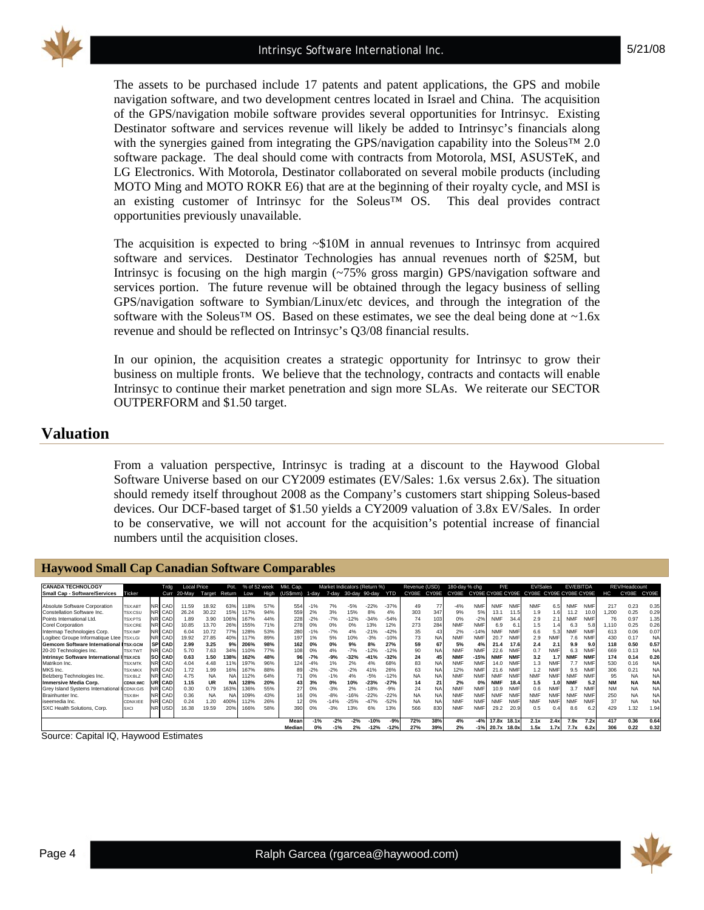

The assets to be purchased include 17 patents and patent applications, the GPS and mobile navigation software, and two development centres located in Israel and China. The acquisition of the GPS/navigation mobile software provides several opportunities for Intrinsyc. Existing Destinator software and services revenue will likely be added to Intrinsyc's financials along with the synergies gained from integrating the GPS/navigation capability into the Soleus™ 2.0 software package. The deal should come with contracts from Motorola, MSI, ASUSTeK, and LG Electronics. With Motorola, Destinator collaborated on several mobile products (including MOTO Ming and MOTO ROKR E6) that are at the beginning of their royalty cycle, and MSI is an existing customer of Intrinsyc for the Soleus™ OS. This deal provides contract opportunities previously unavailable.

The acquisition is expected to bring  $\sim $10M$  in annual revenues to Intrinsyc from acquired software and services. Destinator Technologies has annual revenues north of \$25M, but Intrinsyc is focusing on the high margin (~75% gross margin) GPS/navigation software and services portion. The future revenue will be obtained through the legacy business of selling GPS/navigation software to Symbian/Linux/etc devices, and through the integration of the software with the Soleus<sup>™</sup> OS. Based on these estimates, we see the deal being done at ~1.6x revenue and should be reflected on Intrinsyc's Q3/08 financial results.

In our opinion, the acquisition creates a strategic opportunity for Intrinsyc to grow their business on multiple fronts. We believe that the technology, contracts and contacts will enable Intrinsyc to continue their market penetration and sign more SLAs. We reiterate our SECTOR OUTPERFORM and \$1.50 target.

#### **Valuation**

From a valuation perspective, Intrinsyc is trading at a discount to the Haywood Global Software Universe based on our CY2009 estimates (EV/Sales: 1.6x versus 2.6x). The situation should remedy itself throughout 2008 as the Company's customers start shipping Soleus-based devices. Our DCF-based target of \$1.50 yields a CY2009 valuation of 3.8x EV/Sales. In order to be conservative, we will not account for the acquisition's potential increase of financial numbers until the acquisition closes.

| _________                               |                 |        |                    |           |           |              |      |           |           |        |               |                              |            |               |           |               |            |            |            |                                           |            |                  |            |           |               |           |
|-----------------------------------------|-----------------|--------|--------------------|-----------|-----------|--------------|------|-----------|-----------|--------|---------------|------------------------------|------------|---------------|-----------|---------------|------------|------------|------------|-------------------------------------------|------------|------------------|------------|-----------|---------------|-----------|
|                                         |                 |        |                    |           |           |              |      |           |           |        |               |                              |            |               |           |               |            |            |            |                                           |            |                  |            |           |               |           |
| <b>CANADA TECHNOLOGY</b>                |                 | Trdg   | <b>Local Price</b> |           | Pot.      | % of 52 week |      | Mkt. Cap. |           |        |               | Market Indicators (Return %) |            | Revenue (USD) |           | 180-day % chg |            | P/E        |            | EV/Sales                                  |            | <b>EV/EBITDA</b> |            |           | REV/Headcount |           |
| Small Cap - Software/Services           | Ticker          | Curr   | 20-May             | Target    | Return    | Low          | High | (US\$mm)  | 1-day     | 7-dav  | 30-day 90-day |                              | <b>YTD</b> | CY08F         | CY09F     | CY08E         |            |            |            | CY09E CY08E CY09E CY08E CY09E CY08E CY09E |            |                  |            | нc        | CY08E         | CY09E     |
|                                         |                 |        |                    |           |           |              |      |           |           |        |               |                              |            |               |           |               |            |            |            |                                           |            |                  |            |           |               |           |
| Absolute Software Corporation           | <b>TSX:ABT</b>  | NR CAD | 1.59               | 18.92     | 63%       | 118%         | 57%  | 554       | $-1%$     | 7%     | $-5%$         | $-22%$                       | $-37%$     | 49            | 77        | $-4%$         | <b>NMF</b> | <b>NMF</b> | <b>NMF</b> | <b>NMF</b>                                | 6.5        | <b>NMF</b>       | <b>NMF</b> | 217       | 0.23          | 0.35      |
| Constellation Software Inc.             | TSX:CSU         | NR CAD | 26.24              | 30.22     | 15%       | 117%         | 94%  | 559       | 2%        | 3%     | 15%           | 8%                           | 4%         | 303           | 347       | 9%            | 5%         | 13.1       | 11.5       | 1.9                                       |            | 11.2             |            | .200      | 0.25          | 0.29      |
| Points International Ltd.               | TSX:PTS         | NR CAD | 1.89               | 3.90      | 06%       | 167%         | 44%  | 228       | $-2%$     | $-7%$  | $-12%$        | $-34%$                       | $-54%$     | 74            | 103       | 0%            | $-2%$      | <b>NMF</b> | 34.4       | 2.9                                       | 2.         | <b>NMF</b>       | <b>NMF</b> | 76        | 0.97          | 1.35      |
| Corel Corporation                       | TSX:CRE         | NR CAD | 10.85              | 13.70     | 26%       | 155%         | 71%  | 278       | 0%        | 0%     | 0%            | 13%                          | 12%        | 273           | 284       | <b>NMF</b>    | <b>NMF</b> | 6.9        | 6.1        | 1.5                                       |            | 6.3              | 5.8        | 1.110     | 0.25          | 0.26      |
| Intermap Technologies Corp.             | <b>TSX:IMP</b>  | NR CAD | 6.04               | 10.72     | 77%       | 128%         | 53%  | 280       | $-1%$     | $-7%$  | 4%            | $-21%$                       | $-42%$     | 35            |           | 2%            | $-14%$     | <b>NMF</b> | <b>NMF</b> | 6.6                                       | 5.3        | <b>NMF</b>       | <b>NMF</b> | 613       | 0.06          | 0.07      |
| Logibec Groupe Informatique Ltee        | <b>TSX:LGI</b>  | NR CAD | 9.92               | 27.85     | 40%       | 117%         | 89%  | 197       | 1%        | 5%     | 10%           | $-3%$                        | $-10%$     | 73            | <b>NA</b> | <b>NMF</b>    | <b>NMF</b> | 20.7       | <b>NMF</b> | 2.9                                       | <b>NMF</b> | 7.6              | <b>NMF</b> | 430       | 0.17          | <b>NA</b> |
| Gemcom Software International ITSX:GCM  |                 | SP CAD | 2.99               | 3.25      | 9%        | 206%         | 98%  | 162       | <b>0%</b> | 0%     | 9%            | 8%                           | 27%        | 59            | 67        | 5%            | 4%         | 21.4       | 17.6       | 2.4                                       | 2.1        | 9.9              | 9.0        | 118       | 0.50          | 0.57      |
| 20-20 Technologies Inc.                 | <b>TSX:TWT</b>  | NR CAD | 5.70               | 7.63      | 34%       | 110%         | 77%  | 108       | 0%        | 4%     | $-7%$         | 12%                          | $-12%$     | 90            | NA        | <b>NMF</b>    | <b>NMF</b> | 22.6       | <b>NMF</b> | 0.7                                       | <b>NMF</b> |                  |            | 669       | 0.13          | <b>NA</b> |
| <b>Intrinsyc Software International</b> | <b>TSX:ICS</b>  | SO CAD | 0.63               | 1.50      | 138%      | 162%         | 48%  | 96        | $-7%$     | $-9%$  | $-32%$        | $-41%$                       | $-32%$     | 24            |           | <b>NMF</b>    | $-15%$     | <b>NMF</b> | <b>NMF</b> | 3.2                                       | 1.7        | <b>NMF</b>       | <b>NMF</b> | 174       | 0.14          | 0.26      |
| Matrikon Inc.                           | <b>TSX:MTK</b>  | NR CAD | 4.04               | 4.48      | 11%       | 197%         | 96%  | 124       | $-4%$     | 1%     | 2%            | 4%                           | 68%        | 83            | NA        | <b>NMF</b>    | <b>NMF</b> | 14.0       | <b>NMF</b> | 1.3                                       | <b>NMF</b> |                  | <b>NMF</b> | 530       | 0.16          | NA        |
| MKS Inc.                                | <b>TSX:MKX</b>  | NR CAD | 1.72               | 1.99      | 16%       | 167%         | 88%  | 89        | $-2%$     | $-2%$  | $-2%$         | 41%                          | 26%        | 63            | NA        | 12%           | <b>NMF</b> | 21.6       | <b>NMF</b> | 1.2                                       | <b>NMF</b> | 9.5              | <b>NMF</b> | 306       | 0.21          | <b>NA</b> |
| Belzberg Technologies Inc.              | TSX:BLZ         | NR CAD | 4.75               | <b>NA</b> | <b>NA</b> | 112%         | 64%  | 71        | 0%        | $-1%$  | 4%            | $-5%$                        | $-12%$     | <b>NA</b>     | NA        | <b>NMF</b>    | <b>NMF</b> | <b>NMF</b> | <b>NMF</b> | <b>NMF</b>                                | <b>NMF</b> | <b>NMF</b>       | <b>NMF</b> | 95        | <b>NA</b>     | <b>NA</b> |
| <b>Immersive Media Corp.</b>            | <b>CDNX:IMC</b> | UR CAD | 1.15               | <b>UR</b> | <b>NA</b> | 128%         | 20%  | 43        | 3%        | 0%     | 10%           | $-23%$                       | $-27%$     | 14            | 21        | 2%            | 0%         | <b>NMF</b> | 18.4       | 1.5                                       | 1.0        | <b>NMF</b>       | 5.2        | <b>NM</b> | <b>NA</b>     | <b>NA</b> |
| Grey Island Systems International       | CDNX:GIS        | NR CAD | 0.30               | 0.79      | 63%       | 136%         | 55%  | 27        | 0%        | $-3%$  | 2%            | $-18%$                       | $-9%$      | 24            | NA        | <b>NMF</b>    | <b>NMF</b> | 10.9       | <b>NMF</b> | 0.6                                       | <b>NMF</b> | 3.7              | <b>NMF</b> | <b>NM</b> | <b>NA</b>     | <b>NA</b> |
| Brainhunter Inc.                        | TSX:BH          | NR CAD | 0.36               | <b>NA</b> | <b>NA</b> | 109%         | 43%  |           | 0%        | $-8%$  | $-16%$        | $-22%$                       | $-22%$     | <b>NA</b>     | <b>NA</b> | <b>NMF</b>    | <b>NMF</b> | <b>NMF</b> | <b>NM</b>  | <b>NMF</b>                                | <b>NMF</b> | <b>NMF</b>       | <b>NMF</b> | 250       | <b>NA</b>     | <b>NA</b> |
| iseemedia Inc.                          | CDNX:IEE        | NR CAD | 0.24               | 1.20      |           | 112%         | 26%  |           | 0%        | $-14%$ | $-25%$        | $-47%$                       | $-52%$     | <b>NA</b>     | NA        | <b>NMF</b>    | <b>NMF</b> | <b>NMF</b> | <b>NMF</b> | <b>NMF</b>                                | <b>NMF</b> | <b>NMF</b>       | <b>NMF</b> | 37        | <b>NA</b>     | <b>NA</b> |
| SXC Health Solutions, Corp.             | <b>SXCI</b>     | NR USD | 6.38               | 19.59     | 20%       | 166%         | 58%  | 390       | 0%        | $-3%$  | 13%           | 6%                           | 13%        | 566           | 830       | <b>NMF</b>    | <b>NMF</b> | 29.2       | 20.9       | 0.5                                       | 0.4        | 8.6              | 6.2        | 429       | 1.32          | 1.94      |
|                                         |                 |        |                    |           |           |              |      |           |           |        |               |                              |            |               |           |               |            |            |            |                                           |            |                  |            |           |               |           |
|                                         |                 |        |                    |           |           |              |      | Mear      | $-1%$     | $-2%$  | $-2%$         | $-10%$                       | $-9%$      | 72%           | 38%       | 4%            | $-4%$      | 17.8x      | 18.1x      | 2.1x                                      | 2.4x       | 7.9x             | 7.2x       | 417       | 0.36          | 0.64      |
|                                         |                 |        |                    |           |           |              |      | Median    | 0%        | $-1%$  |               | $-12%$                       | $-12%$     | 27%           | 39%       | 2%            |            | 20.7x      | 18.0x      | 1.5x                                      | 1.7x       | 7.7x             | 6.2x       | 306       | 0.22          | 0.32      |

Source: Capital IQ, Haywood Estimates

**Haywood Small Cap Canadian Software Comparables** 

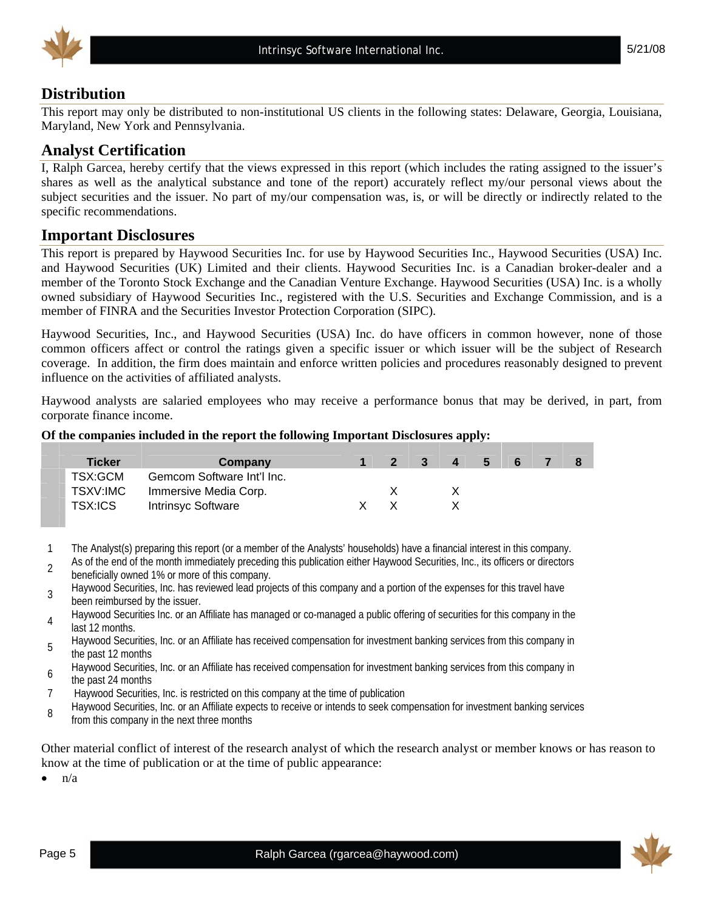

## **Distribution**

This report may only be distributed to non-institutional US clients in the following states: Delaware, Georgia, Louisiana, Maryland, New York and Pennsylvania.

## **Analyst Certification**

I, Ralph Garcea, hereby certify that the views expressed in this report (which includes the rating assigned to the issuer's shares as well as the analytical substance and tone of the report) accurately reflect my/our personal views about the subject securities and the issuer. No part of my/our compensation was, is, or will be directly or indirectly related to the specific recommendations.

## **Important Disclosures**

This report is prepared by Haywood Securities Inc. for use by Haywood Securities Inc., Haywood Securities (USA) Inc. and Haywood Securities (UK) Limited and their clients. Haywood Securities Inc. is a Canadian broker-dealer and a member of the Toronto Stock Exchange and the Canadian Venture Exchange. Haywood Securities (USA) Inc. is a wholly owned subsidiary of Haywood Securities Inc., registered with the U.S. Securities and Exchange Commission, and is a member of FINRA and the Securities Investor Protection Corporation (SIPC).

Haywood Securities, Inc., and Haywood Securities (USA) Inc. do have officers in common however, none of those common officers affect or control the ratings given a specific issuer or which issuer will be the subject of Research coverage. In addition, the firm does maintain and enforce written policies and procedures reasonably designed to prevent influence on the activities of affiliated analysts.

Haywood analysts are salaried employees who may receive a performance bonus that may be derived, in part, from corporate finance income.

#### **Of the companies included in the report the following Important Disclosures apply:**

| <b>Ticker</b> | Company                    | $\overline{2}$ | $\blacksquare$ 3 | 4 | - 5 | -6 |  |
|---------------|----------------------------|----------------|------------------|---|-----|----|--|
| TSX:GCM       | Gemcom Software Int'l Inc. |                |                  |   |     |    |  |
| TSXV:IMC      | Immersive Media Corp.      |                |                  |   |     |    |  |
| TSX:ICS       | <b>Intrinsyc Software</b>  |                |                  |   |     |    |  |

- 1 The Analyst(s) preparing this report (or a member of the Analysts' households) have a financial interest in this company.
- 2 As of the end of the month immediately preceding this publication either Haywood Securities, Inc., its officers or directors beneficially owned 1% or more of this company.
- Haywood Securities, Inc. has reviewed lead projects of this company and a portion of the expenses for this travel have been reimbursed by the issuer.
- Haywood Securities Inc. or an Affiliate has managed or co-managed a public offering of securities for this company in the last 12 months.
- Haywood Securities, Inc. or an Affiliate has received compensation for investment banking services from this company in the past 12 months
- <sup>6</sup>Haywood Securities, Inc. or an Affiliate has received compensation for investment banking services from this company in the past 24 months
- 7 Haywood Securities, Inc. is restricted on this company at the time of publication
- Bush alter the vecurities, Inc. or an Affiliate expects to receive or intends to seek compensation for investment banking services from this company in the next three months

Other material conflict of interest of the research analyst of which the research analyst or member knows or has reason to know at the time of publication or at the time of public appearance:

 $n/a$ 

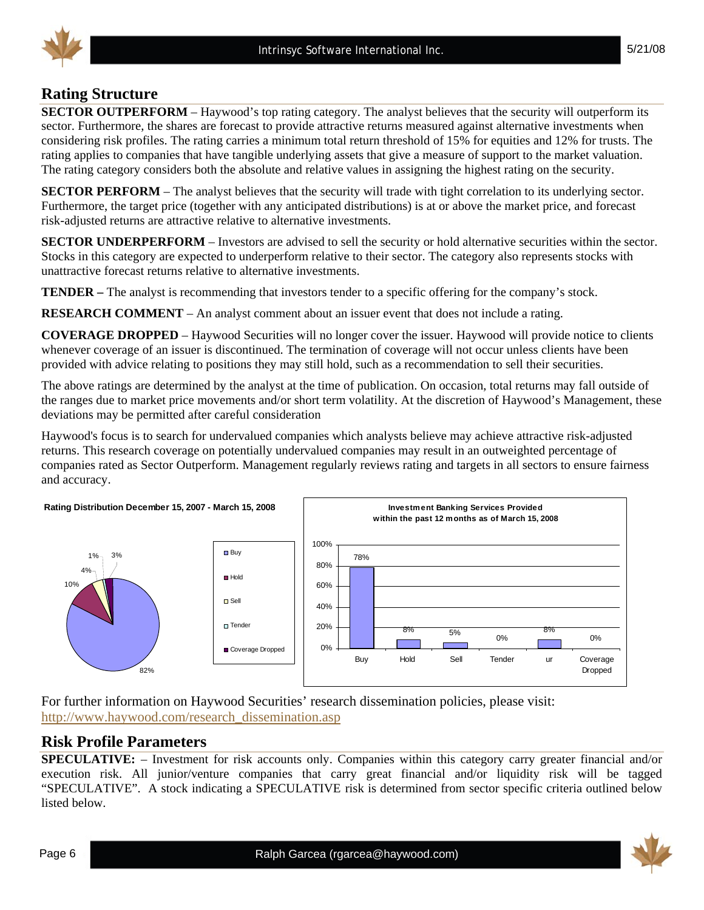## **Rating Structure**

**SECTOR OUTPERFORM** – Haywood's top rating category. The analyst believes that the security will outperform its sector. Furthermore, the shares are forecast to provide attractive returns measured against alternative investments when considering risk profiles. The rating carries a minimum total return threshold of 15% for equities and 12% for trusts. The rating applies to companies that have tangible underlying assets that give a measure of support to the market valuation. The rating category considers both the absolute and relative values in assigning the highest rating on the security.

**SECTOR PERFORM** – The analyst believes that the security will trade with tight correlation to its underlying sector. Furthermore, the target price (together with any anticipated distributions) is at or above the market price, and forecast risk-adjusted returns are attractive relative to alternative investments.

**SECTOR UNDERPERFORM** – Investors are advised to sell the security or hold alternative securities within the sector. Stocks in this category are expected to underperform relative to their sector. The category also represents stocks with unattractive forecast returns relative to alternative investments.

**TENDER –** The analyst is recommending that investors tender to a specific offering for the company's stock.

**RESEARCH COMMENT** – An analyst comment about an issuer event that does not include a rating.

**COVERAGE DROPPED** – Haywood Securities will no longer cover the issuer. Haywood will provide notice to clients whenever coverage of an issuer is discontinued. The termination of coverage will not occur unless clients have been provided with advice relating to positions they may still hold, such as a recommendation to sell their securities.

The above ratings are determined by the analyst at the time of publication. On occasion, total returns may fall outside of the ranges due to market price movements and/or short term volatility. At the discretion of Haywood's Management, these deviations may be permitted after careful consideration

Haywood's focus is to search for undervalued companies which analysts believe may achieve attractive risk-adjusted returns. This research coverage on potentially undervalued companies may result in an outweighted percentage of companies rated as Sector Outperform. Management regularly reviews rating and targets in all sectors to ensure fairness and accuracy.



For further information on Haywood Securities' research dissemination policies, please visit: http://www.haywood.com/research\_dissemination.asp

## **Risk Profile Parameters**

**SPECULATIVE:** – Investment for risk accounts only. Companies within this category carry greater financial and/or execution risk. All junior/venture companies that carry great financial and/or liquidity risk will be tagged "SPECULATIVE". A stock indicating a SPECULATIVE risk is determined from sector specific criteria outlined below listed below.